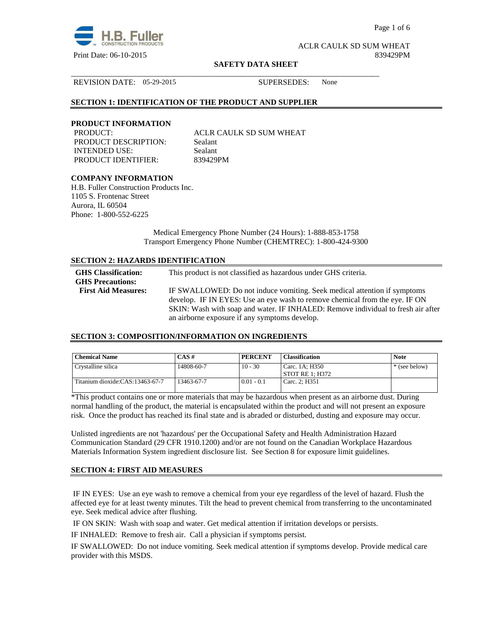

Page 1 of 6

ACLR CAULK SD SUM WHEAT Print Date: 06-10-2015 839429PM

#### **SAFETY DATA SHEET**

\_\_\_\_\_\_\_\_\_\_\_\_\_\_\_\_\_\_\_\_\_\_\_\_\_\_\_\_\_\_\_\_\_\_\_\_\_\_\_\_\_\_\_\_\_\_\_\_\_\_\_\_\_\_\_\_\_\_\_\_\_\_\_\_\_\_\_\_\_\_\_\_\_\_\_\_\_\_

REVISION DATE: 05-29-2015 SUPERSEDES: None

## **SECTION 1: IDENTIFICATION OF THE PRODUCT AND SUPPLIER**

### **PRODUCT INFORMATION**

PRODUCT DESCRIPTION: Sealant INTENDED USE: Sealant PRODUCT IDENTIFIER: 839429PM

PRODUCT: ACLR CAULK SD SUM WHEAT

## **COMPANY INFORMATION**

H.B. Fuller Construction Products Inc. 1105 S. Frontenac Street Aurora, IL 60504 Phone: 1-800-552-6225

> Medical Emergency Phone Number (24 Hours): 1-888-853-1758 Transport Emergency Phone Number (CHEMTREC): 1-800-424-9300

## **SECTION 2: HAZARDS IDENTIFICATION**

| <b>GHS</b> Classification:<br><b>GHS Precautions:</b> | This product is not classified as hazardous under GHS criteria.                                                                                                 |
|-------------------------------------------------------|-----------------------------------------------------------------------------------------------------------------------------------------------------------------|
| <b>First Aid Measures:</b>                            | IF SWALLOWED: Do not induce vomiting. Seek medical attention if symptoms                                                                                        |
|                                                       | develop. IF IN EYES: Use an eye wash to remove chemical from the eye. IF ON<br>SKIN: Wash with soap and water. IF INHALED: Remove individual to fresh air after |
|                                                       | an airborne exposure if any symptoms develop.                                                                                                                   |

## **SECTION 3: COMPOSITION/INFORMATION ON INGREDIENTS**

| <b>Chemical Name</b>            | $CAS \#$   | <b>PERCENT</b> | <b>Classification</b>               | <b>Note</b>   |
|---------------------------------|------------|----------------|-------------------------------------|---------------|
| Crystalline silica              | 14808-60-7 | $10 - 30$      | Carc. 1A; H350<br>  STOT RE 1: H372 | * (see below) |
| Titanium dioxide:CAS:13463-67-7 | 13463-67-7 | $0.01 - 0.1$   | Carc. 2: H351                       |               |

\*This product contains one or more materials that may be hazardous when present as an airborne dust. During normal handling of the product, the material is encapsulated within the product and will not present an exposure risk. Once the product has reached its final state and is abraded or disturbed, dusting and exposure may occur.

Unlisted ingredients are not 'hazardous' per the Occupational Safety and Health Administration Hazard Communication Standard (29 CFR 1910.1200) and/or are not found on the Canadian Workplace Hazardous Materials Information System ingredient disclosure list. See Section 8 for exposure limit guidelines.

## **SECTION 4: FIRST AID MEASURES**

 IF IN EYES: Use an eye wash to remove a chemical from your eye regardless of the level of hazard. Flush the affected eye for at least twenty minutes. Tilt the head to prevent chemical from transferring to the uncontaminated eye. Seek medical advice after flushing.

IF ON SKIN: Wash with soap and water. Get medical attention if irritation develops or persists.

IF INHALED: Remove to fresh air. Call a physician if symptoms persist.

IF SWALLOWED:Do not induce vomiting. Seek medical attention if symptoms develop. Provide medical care provider with this MSDS.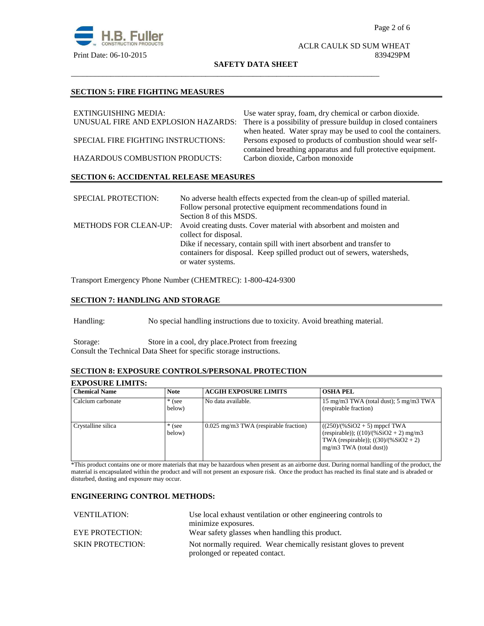

#### ACLR CAULK SD SUM WHEAT Print Date: 06-10-2015 839429PM

**SAFETY DATA SHEET**

\_\_\_\_\_\_\_\_\_\_\_\_\_\_\_\_\_\_\_\_\_\_\_\_\_\_\_\_\_\_\_\_\_\_\_\_\_\_\_\_\_\_\_\_\_\_\_\_\_\_\_\_\_\_\_\_\_\_\_\_\_\_\_\_\_\_\_\_\_\_\_\_\_\_\_\_\_\_

#### **SECTION 5: FIRE FIGHTING MEASURES**

| EXTINGUISHING MEDIA:                          | Use water spray, foam, dry chemical or carbon dioxide.          |
|-----------------------------------------------|-----------------------------------------------------------------|
| UNUSUAL FIRE AND EXPLOSION HAZARDS:           | There is a possibility of pressure buildup in closed containers |
|                                               | when heated. Water spray may be used to cool the containers.    |
| SPECIAL FIRE FIGHTING INSTRUCTIONS:           | Persons exposed to products of combustion should wear self-     |
|                                               | contained breathing apparatus and full protective equipment.    |
| <b>HAZARDOUS COMBUSTION PRODUCTS:</b>         | Carbon dioxide, Carbon monoxide                                 |
| <b>SECTION 6: ACCIDENTAL RELEASE MEASURES</b> |                                                                 |

| <b>SPECIAL PROTECTION:</b>   | No adverse health effects expected from the clean-up of spilled material. |
|------------------------------|---------------------------------------------------------------------------|
|                              | Follow personal protective equipment recommendations found in             |
|                              | Section 8 of this MSDS.                                                   |
| <b>METHODS FOR CLEAN-UP:</b> | Avoid creating dusts. Cover material with absorbent and moisten and       |
|                              | collect for disposal.                                                     |
|                              | Dike if necessary, contain spill with inert absorbent and transfer to     |
|                              | containers for disposal. Keep spilled product out of sewers, watersheds,  |
|                              | or water systems.                                                         |

Transport Emergency Phone Number (CHEMTREC): 1-800-424-9300

# **SECTION 7: HANDLING AND STORAGE**

Handling: No special handling instructions due to toxicity. Avoid breathing material.

Storage: Store in a cool, dry place.Protect from freezing Consult the Technical Data Sheet for specific storage instructions.

# **SECTION 8: EXPOSURE CONTROLS/PERSONAL PROTECTION**

# **EXPOSURE LIMITS:**

| <b>Chemical Name</b> | <b>Note</b>        | <b>ACGIH EXPOSURE LIMITS</b>            | <b>OSHA PEL</b>                                                                                                                                    |
|----------------------|--------------------|-----------------------------------------|----------------------------------------------------------------------------------------------------------------------------------------------------|
| Calcium carbonate    | $*$ (see<br>below) | No data available.                      | 15 mg/m3 TWA (total dust); 5 mg/m3 TWA<br>(respirable fraction)                                                                                    |
| Crystalline silica   | $*$ (see<br>below) | $0.025$ mg/m3 TWA (respirable fraction) | $((250)/(%SiO2 + 5)$ mppcf TWA<br>(respirable)); $((10)/(%SiO2 + 2)$ mg/m3<br>TWA (respirable)); $((30)/(%SiO2 + 2))$<br>$mg/m3$ TWA (total dust)) |

\*This product contains one or more materials that may be hazardous when present as an airborne dust. During normal handling of the product, the material is encapsulated within the product and will not present an exposure risk. Once the product has reached its final state and is abraded or disturbed, dusting and exposure may occur.

## **ENGINEERING CONTROL METHODS:**

| <b>VENTILATION:</b>     | Use local exhaust ventilation or other engineering controls to     |  |
|-------------------------|--------------------------------------------------------------------|--|
|                         | minimize exposures.                                                |  |
| <b>EYE PROTECTION:</b>  | Wear safety glasses when handling this product.                    |  |
| <b>SKIN PROTECTION:</b> | Not normally required. Wear chemically resistant gloves to prevent |  |
|                         | prolonged or repeated contact.                                     |  |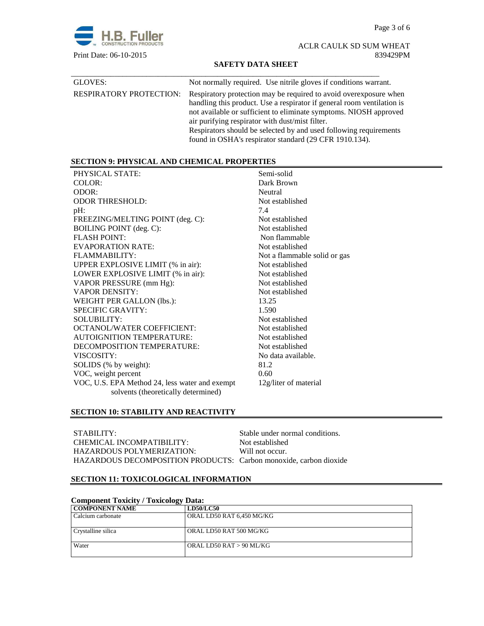Page 3 of 6



ACLR CAULK SD SUM WHEAT Print Date: 06-10-2015 839429PM

## **SAFETY DATA SHEET**

| GLOVES:                        | Not normally required. Use nitrile gloves if conditions warrant.                                                                                                                                                                                                                                                                                                                                   |
|--------------------------------|----------------------------------------------------------------------------------------------------------------------------------------------------------------------------------------------------------------------------------------------------------------------------------------------------------------------------------------------------------------------------------------------------|
| <b>RESPIRATORY PROTECTION:</b> | Respiratory protection may be required to avoid overexposure when<br>handling this product. Use a respirator if general room ventilation is<br>not available or sufficient to eliminate symptoms. NIOSH approved<br>air purifying respirator with dust/mist filter.<br>Respirators should be selected by and used following requirements<br>found in OSHA's respirator standard (29 CFR 1910.134). |

## **SECTION 9: PHYSICAL AND CHEMICAL PROPERTIES**

| PHYSICAL STATE:                                | Semi-solid                   |
|------------------------------------------------|------------------------------|
| COLOR:                                         | Dark Brown                   |
| ODOR:                                          | Neutral                      |
| <b>ODOR THRESHOLD:</b>                         | Not established              |
| pH:                                            | 7.4                          |
| FREEZING/MELTING POINT (deg. C):               | Not established              |
| BOILING POINT (deg. C):                        | Not established              |
| <b>FLASH POINT:</b>                            | Non flammable                |
| EVAPORATION RATE:                              | Not established              |
| FLAMMABILITY:                                  | Not a flammable solid or gas |
| UPPER EXPLOSIVE LIMIT (% in air):              | Not established              |
| LOWER EXPLOSIVE LIMIT (% in air):              | Not established              |
| VAPOR PRESSURE (mm Hg):                        | Not established              |
| <b>VAPOR DENSITY:</b>                          | Not established              |
| WEIGHT PER GALLON (lbs.):                      | 13.25                        |
| <b>SPECIFIC GRAVITY:</b>                       | 1.590                        |
| <b>SOLUBILITY:</b>                             | Not established              |
| <b>OCTANOL/WATER COEFFICIENT:</b>              | Not established              |
| <b>AUTOIGNITION TEMPERATURE:</b>               | Not established              |
| DECOMPOSITION TEMPERATURE:                     | Not established              |
| VISCOSITY:                                     | No data available.           |
| SOLIDS (% by weight):                          | 81.2                         |
| VOC, weight percent                            | 0.60                         |
| VOC, U.S. EPA Method 24, less water and exempt | 12g/liter of material        |
| solvents (theoretically determined)            |                              |

## **SECTION 10: STABILITY AND REACTIVITY**

| STABILITY:                                                        | Stable under normal conditions. |
|-------------------------------------------------------------------|---------------------------------|
| CHEMICAL INCOMPATIBILITY:                                         | Not established                 |
| HAZARDOUS POLYMERIZATION:                                         | Will not occur.                 |
| HAZARDOUS DECOMPOSITION PRODUCTS: Carbon monoxide, carbon dioxide |                                 |

## **SECTION 11: TOXICOLOGICAL INFORMATION**

| <b>Component Toxicity / Toxicology Data:</b> |                           |  |
|----------------------------------------------|---------------------------|--|
| <b>COMPONENT NAME</b>                        | <b>LD50/LC50</b>          |  |
| Calcium carbonate                            | ORAL LD50 RAT 6,450 MG/KG |  |
| Crystalline silica                           | ORAL LD50 RAT 500 MG/KG   |  |
| Water                                        | ORAL LD50 RAT > 90 ML/KG  |  |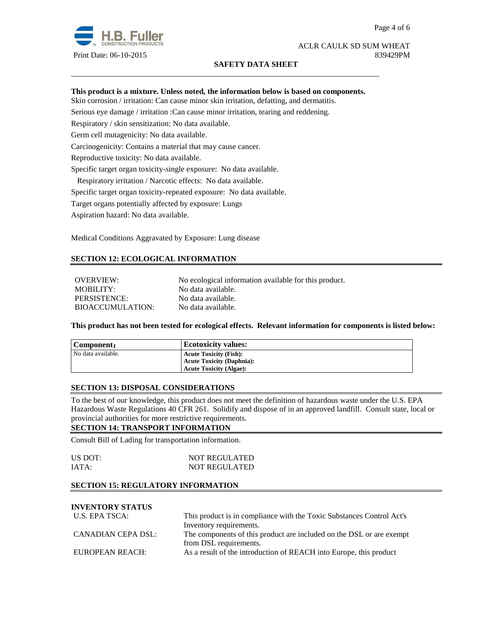

## ACLR CAULK SD SUM WHEAT Print Date: 06-10-2015 839429PM

## **SAFETY DATA SHEET**

## **This product is a mixture. Unless noted, the information below is based on components.**

\_\_\_\_\_\_\_\_\_\_\_\_\_\_\_\_\_\_\_\_\_\_\_\_\_\_\_\_\_\_\_\_\_\_\_\_\_\_\_\_\_\_\_\_\_\_\_\_\_\_\_\_\_\_\_\_\_\_\_\_\_\_\_\_\_\_\_\_\_\_\_\_\_\_\_\_\_\_

Skin corrosion / irritation: Can cause minor skin irritation, defatting, and dermatitis.

Serious eye damage / irritation :Can cause minor irritation, tearing and reddening.

Respiratory / skin sensitization: No data available.

Germ cell mutagenicity: No data available.

Carcinogenicity: Contains a material that may cause cancer.

Reproductive toxicity: No data available.

Specific target organ toxicity-single exposure:No data available.

Respiratory irritation / Narcotic effects: No data available.

Specific target organ toxicity-repeated exposure:No data available.

Target organs potentially affected by exposure: Lungs

Aspiration hazard: No data available.

Medical Conditions Aggravated by Exposure: Lung disease

# **SECTION 12: ECOLOGICAL INFORMATION**

OVERVIEW: No ecological information available for this product. MOBILITY: No data available. PERSISTENCE: No data available. BIOACCUMULATION: No data available.

**This product has not been tested for ecological effects. Relevant information for components is listed below:** 

| Component:         | <b>Ecotoxicity values:</b>       |
|--------------------|----------------------------------|
| No data available. | <b>Acute Toxicity (Fish):</b>    |
|                    | <b>Acute Toxicity (Daphnia):</b> |
|                    | <b>Acute Toxicity (Algae):</b>   |

## **SECTION 13: DISPOSAL CONSIDERATIONS**

To the best of our knowledge, this product does not meet the definition of hazardous waste under the U.S. EPA Hazardous Waste Regulations 40 CFR 261. Solidify and dispose of in an approved landfill. Consult state, local or provincial authorities for more restrictive requirements.

## **SECTION 14: TRANSPORT INFORMATION**

Consult Bill of Lading for transportation information.

| US DOT: | <b>NOT REGULATED</b> |
|---------|----------------------|
| IATA:   | <b>NOT REGULATED</b> |

## **SECTION 15: REGULATORY INFORMATION**

# **INVENTORY STATUS**

| U.S. EPA TSCA:     | This product is in compliance with the Toxic Substances Control Act's |  |
|--------------------|-----------------------------------------------------------------------|--|
|                    | Inventory requirements.                                               |  |
| CANADIAN CEPA DSL: | The components of this product are included on the DSL or are exempt  |  |
|                    | from DSL requirements.                                                |  |
| EUROPEAN REACH:    | As a result of the introduction of REACH into Europe, this product    |  |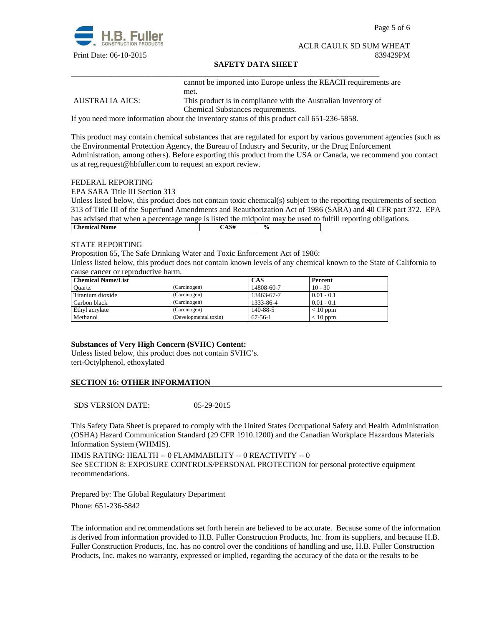

Page 5 of 6

#### ACLR CAULK SD SUM WHEAT Print Date: 06-10-2015 839429PM

### **SAFETY DATA SHEET**

cannot be imported into Europe unless the REACH requirements are met.

AUSTRALIA AICS: This product is in compliance with the Australian Inventory of Chemical Substances requirements.

If you need more information about the inventory status of this product call 651-236-5858.

\_\_\_\_\_\_\_\_\_\_\_\_\_\_\_\_\_\_\_\_\_\_\_\_\_\_\_\_\_\_\_\_\_\_\_\_\_\_\_\_\_\_\_\_\_\_\_\_\_\_\_\_\_\_\_\_\_\_\_\_\_\_\_\_\_\_\_\_\_\_\_\_\_\_\_\_\_\_

This product may contain chemical substances that are regulated for export by various government agencies (such as the Environmental Protection Agency, the Bureau of Industry and Security, or the Drug Enforcement Administration, among others). Before exporting this product from the USA or Canada, we recommend you contact us at reg.request@hbfuller.com to request an export review.

#### FEDERAL REPORTING

EPA SARA Title III Section 313

Unless listed below, this product does not contain toxic chemical(s) subject to the reporting requirements of section 313 of Title III of the Superfund Amendments and Reauthorization Act of 1986 (SARA) and 40 CFR part 372. EPA has advised that when a percentage range is listed the midpoint may be used to fulfill reporting obligations. **Chemical Name**  $\qquad \qquad$   $\qquad \qquad$   $\qquad \qquad$   $\qquad \qquad$   $\qquad \qquad$   $\qquad \qquad$   $\qquad \qquad$   $\qquad \qquad$   $\qquad \qquad$   $\qquad \qquad$   $\qquad \qquad$   $\qquad \qquad$   $\qquad \qquad$   $\qquad \qquad$   $\qquad \qquad$   $\qquad \qquad$   $\qquad \qquad$   $\qquad \qquad$   $\qquad \qquad$   $\qquad \qquad$   $\qquad \qquad$   $\qquad \qquad$   $\qquad \qquad$ 

#### STATE REPORTING

Proposition 65, The Safe Drinking Water and Toxic Enforcement Act of 1986:

Unless listed below, this product does not contain known levels of any chemical known to the State of California to cause cancer or reproductive harm.

| <b>Chemical Name/List</b> |                       | CAS           | Percent      |
|---------------------------|-----------------------|---------------|--------------|
| Ouartz                    | (Carcinogen)          | 14808-60-7    | $10 - 30$    |
| Titanium dioxide          | (Carcinogen)          | 13463-67-7    | $0.01 - 0.1$ |
| Carbon black              | (Carcinogen)          | 1333-86-4     | $0.01 - 0.1$ |
| Ethyl acrylate            | (Carcinogen)          | 140-88-5      | $< 10$ ppm   |
| Methanol                  | (Developmental toxin) | $67 - 56 - 1$ | $< 10$ ppm   |

## **Substances of Very High Concern (SVHC) Content:**

Unless listed below, this product does not contain SVHC's. tert-Octylphenol, ethoxylated

## **SECTION 16: OTHER INFORMATION**

SDS VERSION DATE: 05-29-2015

This Safety Data Sheet is prepared to comply with the United States Occupational Safety and Health Administration (OSHA) Hazard Communication Standard (29 CFR 1910.1200) and the Canadian Workplace Hazardous Materials Information System (WHMIS).

HMIS RATING: HEALTH -- 0 FLAMMABILITY -- 0 REACTIVITY -- 0 See SECTION 8: EXPOSURE CONTROLS/PERSONAL PROTECTION for personal protective equipment recommendations.

Prepared by: The Global Regulatory Department Phone: 651-236-5842

The information and recommendations set forth herein are believed to be accurate. Because some of the information is derived from information provided to H.B. Fuller Construction Products, Inc. from its suppliers, and because H.B. Fuller Construction Products, Inc. has no control over the conditions of handling and use, H.B. Fuller Construction Products, Inc. makes no warranty, expressed or implied, regarding the accuracy of the data or the results to be